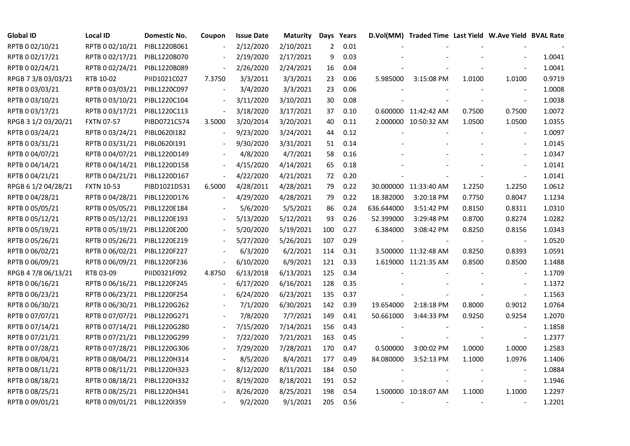| <b>Global ID</b>    | Local ID                     | Domestic No. | Coupon         | <b>Issue Date</b> | <b>Maturity</b> | Days           | Years |            | D.Vol(MM) Traded Time Last Yield W.Ave Yield BVAL Rate |        |                          |        |
|---------------------|------------------------------|--------------|----------------|-------------------|-----------------|----------------|-------|------------|--------------------------------------------------------|--------|--------------------------|--------|
| RPTB 0 02/10/21     | RPTB 0 02/10/21              | PIBL1220B061 |                | 2/12/2020         | 2/10/2021       | $\overline{2}$ | 0.01  |            |                                                        |        |                          |        |
| RPTB 0 02/17/21     | RPTB 0 02/17/21              | PIBL1220B070 |                | 2/19/2020         | 2/17/2021       | 9              | 0.03  |            |                                                        |        |                          | 1.0041 |
| RPTB 0 02/24/21     | RPTB 0 02/24/21              | PIBL1220B089 |                | 2/26/2020         | 2/24/2021       | 16             | 0.04  |            |                                                        |        |                          | 1.0041 |
| RPGB 7 3/8 03/03/21 | RTB 10-02                    | PIID1021C027 | 7.3750         | 3/3/2011          | 3/3/2021        | 23             | 0.06  | 5.985000   | 3:15:08 PM                                             | 1.0100 | 1.0100                   | 0.9719 |
| RPTB 0 03/03/21     | RPTB 0 03/03/21              | PIBL1220C097 | $\overline{a}$ | 3/4/2020          | 3/3/2021        | 23             | 0.06  |            |                                                        |        |                          | 1.0008 |
| RPTB 0 03/10/21     | RPTB 0 03/10/21              | PIBL1220C104 |                | 3/11/2020         | 3/10/2021       | 30             | 0.08  |            |                                                        |        |                          | 1.0038 |
| RPTB 0 03/17/21     | RPTB 0 03/17/21              | PIBL1220C113 |                | 3/18/2020         | 3/17/2021       | 37             | 0.10  |            | 0.600000 11:42:42 AM                                   | 0.7500 | 0.7500                   | 1.0072 |
| RPGB 3 1/2 03/20/21 | <b>FXTN 07-57</b>            | PIBD0721C574 | 3.5000         | 3/20/2014         | 3/20/2021       | 40             | 0.11  |            | 2.000000 10:50:32 AM                                   | 1.0500 | 1.0500                   | 1.0355 |
| RPTB 0 03/24/21     | RPTB 0 03/24/21              | PIBL0620I182 |                | 9/23/2020         | 3/24/2021       | 44             | 0.12  |            |                                                        |        |                          | 1.0097 |
| RPTB 0 03/31/21     | RPTB 0 03/31/21              | PIBL0620I191 |                | 9/30/2020         | 3/31/2021       | 51             | 0.14  |            |                                                        |        |                          | 1.0145 |
| RPTB 0 04/07/21     | RPTB 0 04/07/21              | PIBL1220D149 |                | 4/8/2020          | 4/7/2021        | 58             | 0.16  |            |                                                        |        | $\blacksquare$           | 1.0347 |
| RPTB 0 04/14/21     | RPTB 0 04/14/21              | PIBL1220D158 |                | 4/15/2020         | 4/14/2021       | 65             | 0.18  |            |                                                        |        |                          | 1.0141 |
| RPTB 0 04/21/21     | RPTB 0 04/21/21              | PIBL1220D167 |                | 4/22/2020         | 4/21/2021       | 72             | 0.20  |            |                                                        |        | $\blacksquare$           | 1.0141 |
| RPGB 6 1/2 04/28/21 | <b>FXTN 10-53</b>            | PIBD1021D531 | 6.5000         | 4/28/2011         | 4/28/2021       | 79             | 0.22  |            | 30.000000 11:33:40 AM                                  | 1.2250 | 1.2250                   | 1.0612 |
| RPTB 0 04/28/21     | RPTB 0 04/28/21              | PIBL1220D176 |                | 4/29/2020         | 4/28/2021       | 79             | 0.22  | 18.382000  | 3:20:18 PM                                             | 0.7750 | 0.8047                   | 1.1234 |
| RPTB 0 05/05/21     | RPTB 0 05/05/21              | PIBL1220E184 |                | 5/6/2020          | 5/5/2021        | 86             | 0.24  | 636.644000 | 3:51:42 PM                                             | 0.8150 | 0.8311                   | 1.0310 |
| RPTB 0 05/12/21     | RPTB 0 05/12/21              | PIBL1220E193 |                | 5/13/2020         | 5/12/2021       | 93             | 0.26  | 52.399000  | 3:29:48 PM                                             | 0.8700 | 0.8274                   | 1.0282 |
| RPTB 0 05/19/21     | RPTB 0 05/19/21              | PIBL1220E200 |                | 5/20/2020         | 5/19/2021       | 100            | 0.27  | 6.384000   | 3:08:42 PM                                             | 0.8250 | 0.8156                   | 1.0343 |
| RPTB 0 05/26/21     | RPTB 0 05/26/21              | PIBL1220E219 |                | 5/27/2020         | 5/26/2021       | 107            | 0.29  |            |                                                        |        |                          | 1.0520 |
| RPTB 0 06/02/21     | RPTB 0 06/02/21              | PIBL1220F227 |                | 6/3/2020          | 6/2/2021        | 114            | 0.31  |            | 3.500000 11:32:48 AM                                   | 0.8250 | 0.8393                   | 1.0591 |
| RPTB 0 06/09/21     | RPTB 0 06/09/21              | PIBL1220F236 | $\blacksquare$ | 6/10/2020         | 6/9/2021        | 121            | 0.33  |            | 1.619000 11:21:35 AM                                   | 0.8500 | 0.8500                   | 1.1488 |
| RPGB 4 7/8 06/13/21 | RTB 03-09                    | PIID0321F092 | 4.8750         | 6/13/2018         | 6/13/2021       | 125            | 0.34  |            |                                                        |        |                          | 1.1709 |
| RPTB 0 06/16/21     | RPTB 0 06/16/21              | PIBL1220F245 |                | 6/17/2020         | 6/16/2021       | 128            | 0.35  |            |                                                        |        |                          | 1.1372 |
| RPTB 0 06/23/21     | RPTB 0 06/23/21              | PIBL1220F254 |                | 6/24/2020         | 6/23/2021       | 135            | 0.37  |            |                                                        |        | $\overline{\phantom{a}}$ | 1.1563 |
| RPTB 0 06/30/21     | RPTB 0 06/30/21              | PIBL1220G262 |                | 7/1/2020          | 6/30/2021       | 142            | 0.39  | 19.654000  | 2:18:18 PM                                             | 0.8000 | 0.9012                   | 1.0764 |
| RPTB 0 07/07/21     | RPTB 0 07/07/21              | PIBL1220G271 |                | 7/8/2020          | 7/7/2021        | 149            | 0.41  | 50.661000  | 3:44:33 PM                                             | 0.9250 | 0.9254                   | 1.2070 |
| RPTB 0 07/14/21     | RPTB 0 07/14/21              | PIBL1220G280 |                | 7/15/2020         | 7/14/2021       | 156            | 0.43  |            |                                                        |        |                          | 1.1858 |
| RPTB 0 07/21/21     | RPTB 0 07/21/21              | PIBL1220G299 |                | 7/22/2020         | 7/21/2021       | 163            | 0.45  |            |                                                        |        | $\blacksquare$           | 1.2377 |
| RPTB 0 07/28/21     | RPTB 0 07/28/21              | PIBL1220G306 |                | 7/29/2020         | 7/28/2021       | 170            | 0.47  | 0.500000   | 3:00:02 PM                                             | 1.0000 | 1.0000                   | 1.2583 |
| RPTB 0 08/04/21     | RPTB 0 08/04/21              | PIBL1220H314 |                | 8/5/2020          | 8/4/2021        | 177            | 0.49  | 84.080000  | 3:52:13 PM                                             | 1.1000 | 1.0976                   | 1.1406 |
| RPTB 0 08/11/21     | RPTB 0 08/11/21              | PIBL1220H323 |                | 8/12/2020         | 8/11/2021       | 184            | 0.50  |            |                                                        |        |                          | 1.0884 |
| RPTB 0 08/18/21     | RPTB 0 08/18/21              | PIBL1220H332 |                | 8/19/2020         | 8/18/2021       | 191            | 0.52  |            |                                                        |        | $\overline{\phantom{a}}$ | 1.1946 |
| RPTB 0 08/25/21     | RPTB 0 08/25/21              | PIBL1220H341 |                | 8/26/2020         | 8/25/2021       | 198            | 0.54  |            | 1.500000 10:18:07 AM                                   | 1.1000 | 1.1000                   | 1.2297 |
| RPTB 0 09/01/21     | RPTB 0 09/01/21 PIBL1220I359 |              |                | 9/2/2020          | 9/1/2021        | 205            | 0.56  |            |                                                        |        |                          | 1.2201 |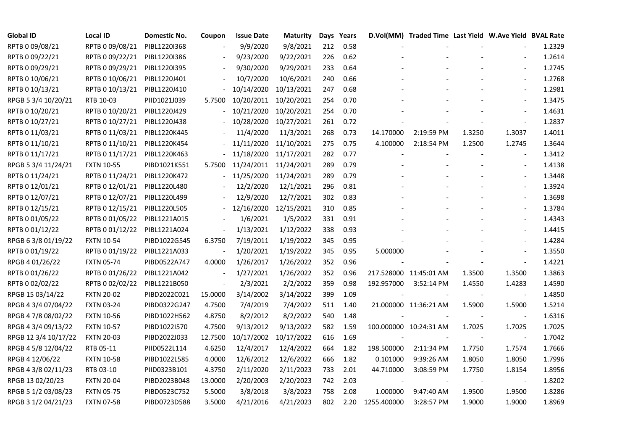| <b>Global ID</b>     | <b>Local ID</b>   | Domestic No. | Coupon                   | <b>Issue Date</b> | <b>Maturity</b> |     | Days Years |             | D.Vol(MM) Traded Time Last Yield W.Ave Yield BVAL Rate |        |                          |        |
|----------------------|-------------------|--------------|--------------------------|-------------------|-----------------|-----|------------|-------------|--------------------------------------------------------|--------|--------------------------|--------|
| RPTB 0 09/08/21      | RPTB 0 09/08/21   | PIBL1220I368 |                          | 9/9/2020          | 9/8/2021        | 212 | 0.58       |             |                                                        |        |                          | 1.2329 |
| RPTB 0 09/22/21      | RPTB 0 09/22/21   | PIBL1220I386 |                          | 9/23/2020         | 9/22/2021       | 226 | 0.62       |             |                                                        |        |                          | 1.2614 |
| RPTB 0 09/29/21      | RPTB 0 09/29/21   | PIBL1220I395 |                          | 9/30/2020         | 9/29/2021       | 233 | 0.64       |             |                                                        |        |                          | 1.2745 |
| RPTB 0 10/06/21      | RPTB 0 10/06/21   | PIBL1220J401 |                          | 10/7/2020         | 10/6/2021       | 240 | 0.66       |             |                                                        |        | $\overline{\phantom{a}}$ | 1.2768 |
| RPTB 0 10/13/21      | RPTB 0 10/13/21   | PIBL1220J410 |                          | 10/14/2020        | 10/13/2021      | 247 | 0.68       |             |                                                        |        |                          | 1.2981 |
| RPGB 5 3/4 10/20/21  | RTB 10-03         | PIID1021J039 | 5.7500                   | 10/20/2011        | 10/20/2021      | 254 | 0.70       |             |                                                        |        |                          | 1.3475 |
| RPTB 0 10/20/21      | RPTB 0 10/20/21   | PIBL1220J429 |                          | 10/21/2020        | 10/20/2021      | 254 | 0.70       |             |                                                        |        | $\blacksquare$           | 1.4631 |
| RPTB 0 10/27/21      | RPTB 0 10/27/21   | PIBL1220J438 |                          | 10/28/2020        | 10/27/2021      | 261 | 0.72       |             |                                                        |        | $\sim$                   | 1.2837 |
| RPTB 0 11/03/21      | RPTB 0 11/03/21   | PIBL1220K445 |                          | 11/4/2020         | 11/3/2021       | 268 | 0.73       | 14.170000   | 2:19:59 PM                                             | 1.3250 | 1.3037                   | 1.4011 |
| RPTB 0 11/10/21      | RPTB 0 11/10/21   | PIBL1220K454 |                          | 11/11/2020        | 11/10/2021      | 275 | 0.75       | 4.100000    | 2:18:54 PM                                             | 1.2500 | 1.2745                   | 1.3644 |
| RPTB 0 11/17/21      | RPTB 0 11/17/21   | PIBL1220K463 |                          | 11/18/2020        | 11/17/2021      | 282 | 0.77       |             |                                                        |        |                          | 1.3412 |
| RPGB 5 3/4 11/24/21  | <b>FXTN 10-55</b> | PIBD1021K551 | 5.7500                   | 11/24/2011        | 11/24/2021      | 289 | 0.79       |             |                                                        |        | $\overline{\phantom{a}}$ | 1.4138 |
| RPTB 0 11/24/21      | RPTB 0 11/24/21   | PIBL1220K472 |                          | 11/25/2020        | 11/24/2021      | 289 | 0.79       |             |                                                        |        |                          | 1.3448 |
| RPTB 0 12/01/21      | RPTB 0 12/01/21   | PIBL1220L480 |                          | 12/2/2020         | 12/1/2021       | 296 | 0.81       |             |                                                        |        | $\overline{\phantom{a}}$ | 1.3924 |
| RPTB 0 12/07/21      | RPTB 0 12/07/21   | PIBL1220L499 |                          | 12/9/2020         | 12/7/2021       | 302 | 0.83       |             |                                                        |        | $\frac{1}{2}$            | 1.3698 |
| RPTB 0 12/15/21      | RPTB 0 12/15/21   | PIBL1220L505 |                          | 12/16/2020        | 12/15/2021      | 310 | 0.85       |             |                                                        |        | $\blacksquare$           | 1.3784 |
| RPTB 0 01/05/22      | RPTB 0 01/05/22   | PIBL1221A015 |                          | 1/6/2021          | 1/5/2022        | 331 | 0.91       |             |                                                        |        |                          | 1.4343 |
| RPTB 0 01/12/22      | RPTB 0 01/12/22   | PIBL1221A024 | $\overline{\phantom{a}}$ | 1/13/2021         | 1/12/2022       | 338 | 0.93       |             |                                                        |        |                          | 1.4415 |
| RPGB 63/8 01/19/22   | <b>FXTN 10-54</b> | PIBD1022G545 | 6.3750                   | 7/19/2011         | 1/19/2022       | 345 | 0.95       |             |                                                        |        | $\blacksquare$           | 1.4284 |
| RPTB 0 01/19/22      | RPTB 0 01/19/22   | PIBL1221A033 | $\frac{1}{2}$            | 1/20/2021         | 1/19/2022       | 345 | 0.95       | 5.000000    |                                                        |        |                          | 1.3550 |
| RPGB 4 01/26/22      | <b>FXTN 05-74</b> | PIBD0522A747 | 4.0000                   | 1/26/2017         | 1/26/2022       | 352 | 0.96       |             |                                                        |        | $\blacksquare$           | 1.4221 |
| RPTB 0 01/26/22      | RPTB 0 01/26/22   | PIBL1221A042 | $\overline{\phantom{a}}$ | 1/27/2021         | 1/26/2022       | 352 | 0.96       |             | 217.528000 11:45:01 AM                                 | 1.3500 | 1.3500                   | 1.3863 |
| RPTB 0 02/02/22      | RPTB 0 02/02/22   | PIBL1221B050 | $\overline{\phantom{a}}$ | 2/3/2021          | 2/2/2022        | 359 | 0.98       | 192.957000  | 3:52:14 PM                                             | 1.4550 | 1.4283                   | 1.4590 |
| RPGB 15 03/14/22     | <b>FXTN 20-02</b> | PIBD2022C021 | 15.0000                  | 3/14/2002         | 3/14/2022       | 399 | 1.09       |             |                                                        |        |                          | 1.4850 |
| RPGB 4 3/4 07/04/22  | <b>FXTN 03-24</b> | PIBD0322G247 | 4.7500                   | 7/4/2019          | 7/4/2022        | 511 | 1.40       |             | 21.000000 11:36:21 AM                                  | 1.5900 | 1.5900                   | 1.5214 |
| RPGB 4 7/8 08/02/22  | <b>FXTN 10-56</b> | PIBD1022H562 | 4.8750                   | 8/2/2012          | 8/2/2022        | 540 | 1.48       |             |                                                        |        | $\overline{\phantom{a}}$ | 1.6316 |
| RPGB 4 3/4 09/13/22  | <b>FXTN 10-57</b> | PIBD1022I570 | 4.7500                   | 9/13/2012         | 9/13/2022       | 582 | 1.59       |             | 100.000000 10:24:31 AM                                 | 1.7025 | 1.7025                   | 1.7025 |
| RPGB 12 3/4 10/17/22 | <b>FXTN 20-03</b> | PIBD2022J033 | 12.7500                  | 10/17/2002        | 10/17/2022      | 616 | 1.69       |             |                                                        |        | $\blacksquare$           | 1.7042 |
| RPGB 4 5/8 12/04/22  | RTB 05-11         | PIID0522L114 | 4.6250                   | 12/4/2017         | 12/4/2022       | 664 | 1.82       | 198.500000  | 2:11:34 PM                                             | 1.7750 | 1.7574                   | 1.7666 |
| RPGB 4 12/06/22      | <b>FXTN 10-58</b> | PIBD1022L585 | 4.0000                   | 12/6/2012         | 12/6/2022       | 666 | 1.82       | 0.101000    | 9:39:26 AM                                             | 1.8050 | 1.8050                   | 1.7996 |
| RPGB 4 3/8 02/11/23  | RTB 03-10         | PIID0323B101 | 4.3750                   | 2/11/2020         | 2/11/2023       | 733 | 2.01       | 44.710000   | 3:08:59 PM                                             | 1.7750 | 1.8154                   | 1.8956 |
| RPGB 13 02/20/23     | <b>FXTN 20-04</b> | PIBD2023B048 | 13.0000                  | 2/20/2003         | 2/20/2023       | 742 | 2.03       |             |                                                        |        |                          | 1.8202 |
| RPGB 5 1/2 03/08/23  | <b>FXTN 05-75</b> | PIBD0523C752 | 5.5000                   | 3/8/2018          | 3/8/2023        | 758 | 2.08       | 1.000000    | 9:47:40 AM                                             | 1.9500 | 1.9500                   | 1.8286 |
| RPGB 3 1/2 04/21/23  | <b>FXTN 07-58</b> | PIBD0723D588 | 3.5000                   | 4/21/2016         | 4/21/2023       | 802 | 2.20       | 1255.400000 | 3:28:57 PM                                             | 1.9000 | 1.9000                   | 1.8969 |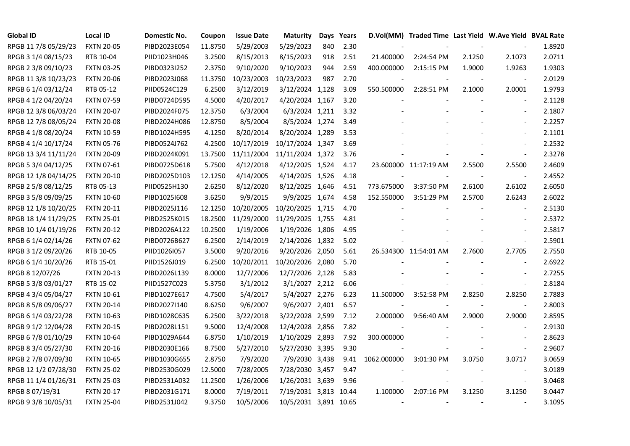| <b>Global ID</b>     | <b>Local ID</b>   | Domestic No. | Coupon  | <b>Issue Date</b> | <b>Maturity</b>       |     | Days Years |             | D.Vol(MM) Traded Time Last Yield W.Ave Yield BVAL Rate |        |                          |        |
|----------------------|-------------------|--------------|---------|-------------------|-----------------------|-----|------------|-------------|--------------------------------------------------------|--------|--------------------------|--------|
| RPGB 11 7/8 05/29/23 | <b>FXTN 20-05</b> | PIBD2023E054 | 11.8750 | 5/29/2003         | 5/29/2023             | 840 | 2.30       |             |                                                        |        |                          | 1.8920 |
| RPGB 3 1/4 08/15/23  | RTB 10-04         | PIID1023H046 | 3.2500  | 8/15/2013         | 8/15/2023             | 918 | 2.51       | 21.400000   | 2:24:54 PM                                             | 2.1250 | 2.1073                   | 2.0711 |
| RPGB 2 3/8 09/10/23  | <b>FXTN 03-25</b> | PIBD0323I252 | 2.3750  | 9/10/2020         | 9/10/2023             | 944 | 2.59       | 400.000000  | 2:15:15 PM                                             | 1.9000 | 1.9263                   | 1.9303 |
| RPGB 11 3/8 10/23/23 | <b>FXTN 20-06</b> | PIBD2023J068 | 11.3750 | 10/23/2003        | 10/23/2023            | 987 | 2.70       |             |                                                        |        | $\overline{\phantom{a}}$ | 2.0129 |
| RPGB 6 1/4 03/12/24  | RTB 05-12         | PIID0524C129 | 6.2500  | 3/12/2019         | 3/12/2024 1,128       |     | 3.09       | 550.500000  | 2:28:51 PM                                             | 2.1000 | 2.0001                   | 1.9793 |
| RPGB 4 1/2 04/20/24  | <b>FXTN 07-59</b> | PIBD0724D595 | 4.5000  | 4/20/2017         | 4/20/2024 1,167       |     | 3.20       |             |                                                        |        | $\blacksquare$           | 2.1128 |
| RPGB 12 3/8 06/03/24 | <b>FXTN 20-07</b> | PIBD2024F075 | 12.3750 | 6/3/2004          | 6/3/2024 1,211        |     | 3.32       |             |                                                        |        | $\overline{\phantom{a}}$ | 2.1807 |
| RPGB 12 7/8 08/05/24 | <b>FXTN 20-08</b> | PIBD2024H086 | 12.8750 | 8/5/2004          | 8/5/2024 1,274        |     | 3.49       |             |                                                        |        | $\overline{\phantom{a}}$ | 2.2257 |
| RPGB 4 1/8 08/20/24  | <b>FXTN 10-59</b> | PIBD1024H595 | 4.1250  | 8/20/2014         | 8/20/2024 1,289       |     | 3.53       |             |                                                        |        |                          | 2.1101 |
| RPGB 4 1/4 10/17/24  | <b>FXTN 05-76</b> | PIBD0524J762 | 4.2500  | 10/17/2019        | 10/17/2024 1,347      |     | 3.69       |             |                                                        |        | $\sim$                   | 2.2532 |
| RPGB 13 3/4 11/11/24 | <b>FXTN 20-09</b> | PIBD2024K091 | 13.7500 | 11/11/2004        | 11/11/2024 1,372      |     | 3.76       |             |                                                        |        | $\blacksquare$           | 2.3278 |
| RPGB 5 3/4 04/12/25  | <b>FXTN 07-61</b> | PIBD0725D618 | 5.7500  | 4/12/2018         | 4/12/2025 1,524       |     | 4.17       |             | 23.600000 11:17:19 AM                                  | 2.5500 | 2.5500                   | 2.4609 |
| RPGB 12 1/8 04/14/25 | <b>FXTN 20-10</b> | PIBD2025D103 | 12.1250 | 4/14/2005         | 4/14/2025 1,526       |     | 4.18       |             |                                                        |        | $\blacksquare$           | 2.4552 |
| RPGB 2 5/8 08/12/25  | RTB 05-13         | PIID0525H130 | 2.6250  | 8/12/2020         | 8/12/2025 1,646       |     | 4.51       | 773.675000  | 3:37:50 PM                                             | 2.6100 | 2.6102                   | 2.6050 |
| RPGB 3 5/8 09/09/25  | <b>FXTN 10-60</b> | PIBD10251608 | 3.6250  | 9/9/2015          | 9/9/2025 1,674        |     | 4.58       | 152.550000  | 3:51:29 PM                                             | 2.5700 | 2.6243                   | 2.6022 |
| RPGB 12 1/8 10/20/25 | <b>FXTN 20-11</b> | PIBD2025J116 | 12.1250 | 10/20/2005        | 10/20/2025 1,715      |     | 4.70       |             |                                                        |        |                          | 2.5130 |
| RPGB 18 1/4 11/29/25 | <b>FXTN 25-01</b> | PIBD2525K015 | 18.2500 | 11/29/2000        | 11/29/2025 1,755      |     | 4.81       |             |                                                        |        | $\overline{\phantom{a}}$ | 2.5372 |
| RPGB 10 1/4 01/19/26 | <b>FXTN 20-12</b> | PIBD2026A122 | 10.2500 | 1/19/2006         | 1/19/2026 1,806       |     | 4.95       |             |                                                        |        | $\overline{\phantom{a}}$ | 2.5817 |
| RPGB 6 1/4 02/14/26  | <b>FXTN 07-62</b> | PIBD0726B627 | 6.2500  | 2/14/2019         | 2/14/2026 1,832       |     | 5.02       |             |                                                        |        | $\sim$                   | 2.5901 |
| RPGB 3 1/2 09/20/26  | RTB 10-05         | PIID1026I057 | 3.5000  | 9/20/2016         | 9/20/2026 2,050       |     | 5.61       |             | 26.534300 11:54:01 AM                                  | 2.7600 | 2.7705                   | 2.7550 |
| RPGB 6 1/4 10/20/26  | RTB 15-01         | PIID1526J019 | 6.2500  | 10/20/2011        | 10/20/2026 2,080      |     | 5.70       |             |                                                        |        | $\blacksquare$           | 2.6922 |
| RPGB 8 12/07/26      | <b>FXTN 20-13</b> | PIBD2026L139 | 8.0000  | 12/7/2006         | 12/7/2026 2,128       |     | 5.83       |             |                                                        |        | $\overline{\phantom{a}}$ | 2.7255 |
| RPGB 5 3/8 03/01/27  | RTB 15-02         | PIID1527C023 | 5.3750  | 3/1/2012          | 3/1/2027 2,212        |     | 6.06       |             |                                                        |        | $\overline{\phantom{a}}$ | 2.8184 |
| RPGB 4 3/4 05/04/27  | <b>FXTN 10-61</b> | PIBD1027E617 | 4.7500  | 5/4/2017          | 5/4/2027 2,276        |     | 6.23       | 11.500000   | 3:52:58 PM                                             | 2.8250 | 2.8250                   | 2.7883 |
| RPGB 8 5/8 09/06/27  | <b>FXTN 20-14</b> | PIBD2027I140 | 8.6250  | 9/6/2007          | 9/6/2027 2,401        |     | 6.57       |             |                                                        |        | $\blacksquare$           | 2.8003 |
| RPGB 6 1/4 03/22/28  | <b>FXTN 10-63</b> | PIBD1028C635 | 6.2500  | 3/22/2018         | 3/22/2028 2,599       |     | 7.12       | 2.000000    | 9:56:40 AM                                             | 2.9000 | 2.9000                   | 2.8595 |
| RPGB 9 1/2 12/04/28  | <b>FXTN 20-15</b> | PIBD2028L151 | 9.5000  | 12/4/2008         | 12/4/2028 2,856       |     | 7.82       |             |                                                        |        | $\sim$                   | 2.9130 |
| RPGB 67/8 01/10/29   | <b>FXTN 10-64</b> | PIBD1029A644 | 6.8750  | 1/10/2019         | 1/10/2029 2,893       |     | 7.92       | 300.000000  |                                                        |        | $\overline{\phantom{a}}$ | 2.8623 |
| RPGB 8 3/4 05/27/30  | <b>FXTN 20-16</b> | PIBD2030E166 | 8.7500  | 5/27/2010         | 5/27/2030 3,395       |     | 9.30       |             |                                                        |        | $\blacksquare$           | 2.9607 |
| RPGB 2 7/8 07/09/30  | <b>FXTN 10-65</b> | PIBD1030G655 | 2.8750  | 7/9/2020          | 7/9/2030 3,438        |     | 9.41       | 1062.000000 | 3:01:30 PM                                             | 3.0750 | 3.0717                   | 3.0659 |
| RPGB 12 1/2 07/28/30 | <b>FXTN 25-02</b> | PIBD2530G029 | 12.5000 | 7/28/2005         | 7/28/2030 3,457       |     | 9.47       |             |                                                        |        | $\overline{\phantom{a}}$ | 3.0189 |
| RPGB 11 1/4 01/26/31 | <b>FXTN 25-03</b> | PIBD2531A032 | 11.2500 | 1/26/2006         | 1/26/2031 3,639       |     | 9.96       |             |                                                        |        | $\overline{\phantom{a}}$ | 3.0468 |
| RPGB 8 07/19/31      | <b>FXTN 20-17</b> | PIBD2031G171 | 8.0000  | 7/19/2011         | 7/19/2031 3,813 10.44 |     |            | 1.100000    | 2:07:16 PM                                             | 3.1250 | 3.1250                   | 3.0447 |
| RPGB 9 3/8 10/05/31  | <b>FXTN 25-04</b> | PIBD2531J042 | 9.3750  | 10/5/2006         | 10/5/2031 3,891 10.65 |     |            |             |                                                        |        | $\blacksquare$           | 3.1095 |